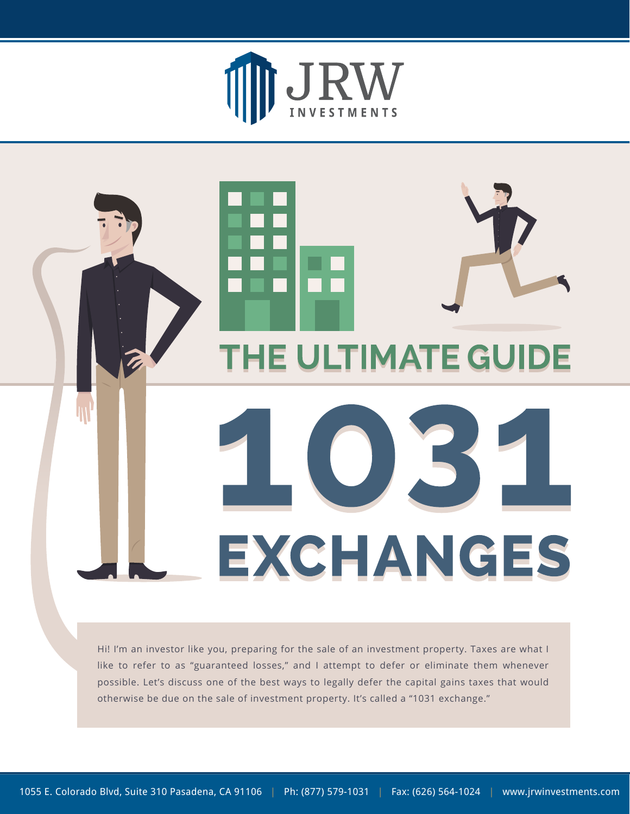



Hi! I'm an investor like you, preparing for the sale of an investment property. Taxes are what I like to refer to as "guaranteed losses," and I attempt to defer or eliminate them whenever possible. Let's discuss one of the best ways to legally defer the capital gains taxes that would otherwise be due on the sale of investment property. It's called a "1031 exchange."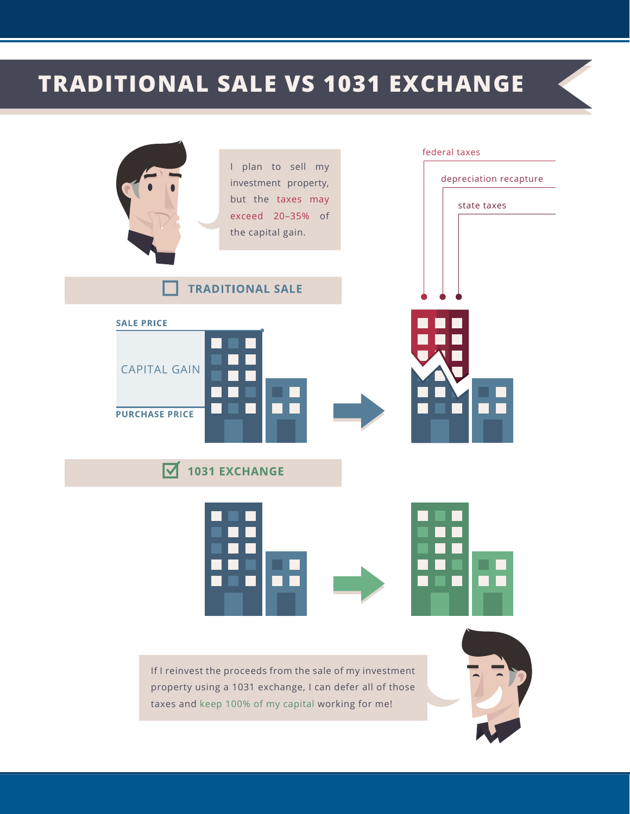## **TRADITIONAL SALE VS 1031 EXCHANGE**

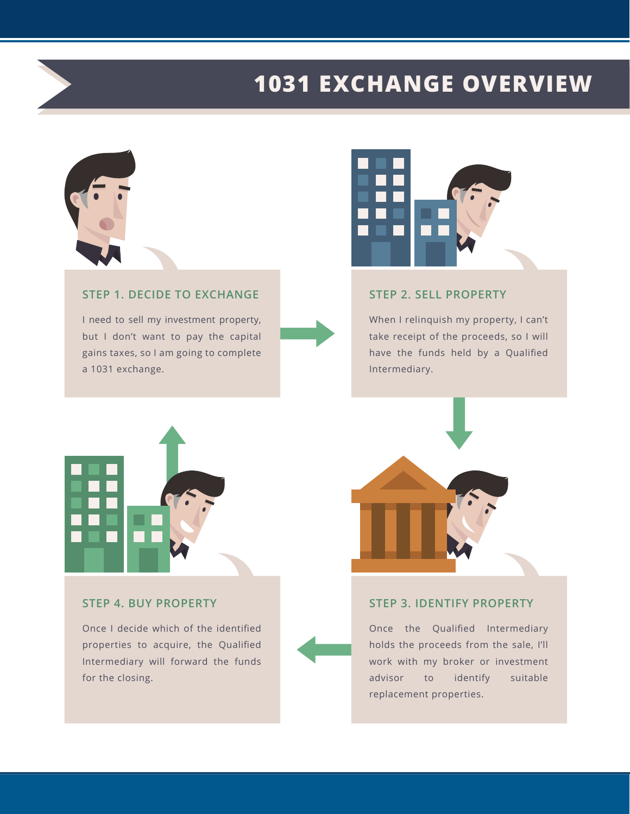## **1031 EXCHANGE OVERVIEW**



#### **STEP 1. DECIDE TO EXCHANGE**

I need to sell my investment property, but I don't want to pay the capital gains taxes, so I am going to complete a 1031 exchange.



#### **STEP 2. SELL PROPERTY**

When I relinquish my property, I can't take receipt of the proceeds, so I will have the funds held by a Qualified Intermediary.



#### **STEP 4. BUY PROPERTY**

Once I decide which of the identified properties to acquire, the Qualified Intermediary will forward the funds for the closing.



#### **STEP 3. IDENTIFY PROPERTY**

Once the Qualified Intermediary holds the proceeds from the sale, I'll work with my broker or investment advisor to identify suitable replacement properties.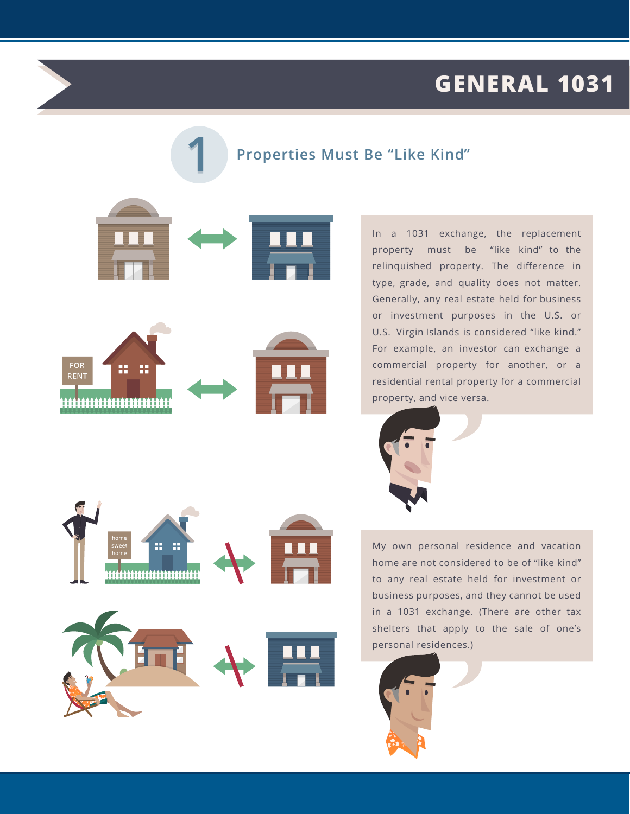## **GENERAL 1031**

#### **Properties Must Be "Like Kind"**





In a 1031 exchange, the replacement property must be "like kind" to the relinquished property. The difference in type, grade, and quality does not matter. Generally, any real estate held for business or investment purposes in the U.S. or U.S. Virgin Islands is considered "like kind." For example, an investor can exchange a commercial property for another, or a residential rental property for a commercial property, and vice versa.



My own personal residence and vacation home are not considered to be of "like kind" to any real estate held for investment or business purposes, and they cannot be used in a 1031 exchange. (There are other tax shelters that apply to the sale of one's personal residences.)





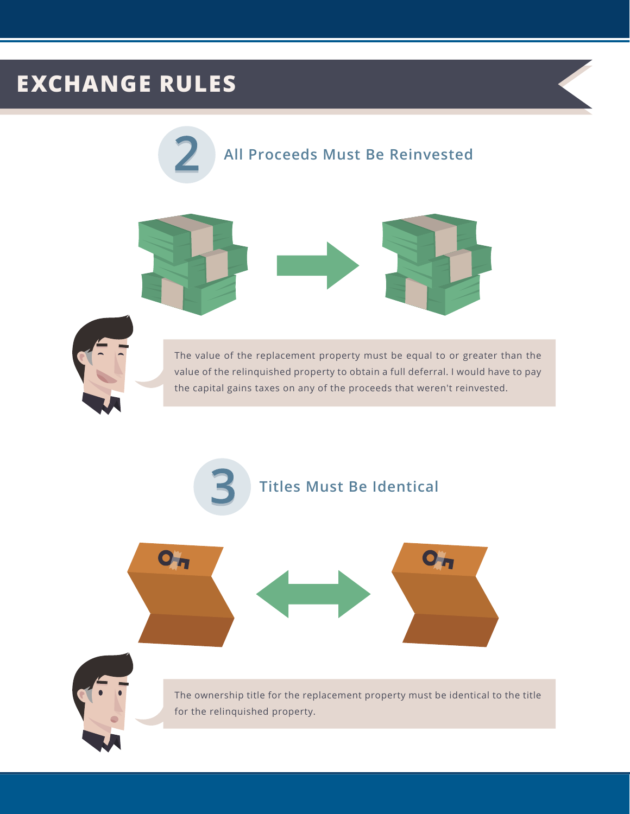## **EXCHANGE RULES**







The value of the replacement property must be equal to or greater than the value of the relinquished property to obtain a full deferral. I would have to pay the capital gains taxes on any of the proceeds that weren't reinvested.

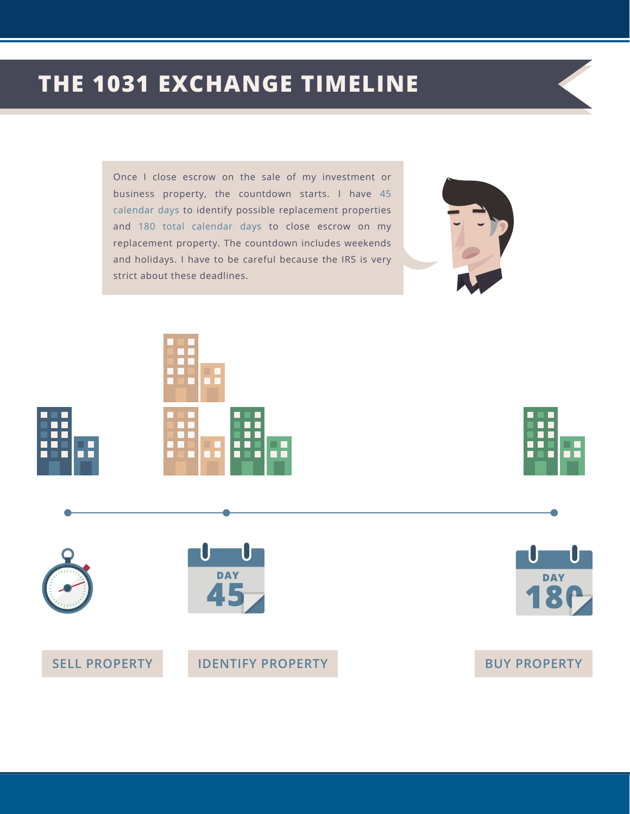## **THE 1031 EXCHANGE TIMELINE**

Once I close escrow on the sale of my investment or business property, the countdown starts. I have 45 calendar days to identify possible replacement properties and 180 total calendar days to close escrow on my replacement property. The countdown includes weekends and holidays. I have to be careful because the IRS is very strict about these deadlines.













#### **SELL PROPERTY IDENTIFY PROPERTY BUY PROPERTY**

# **DAY**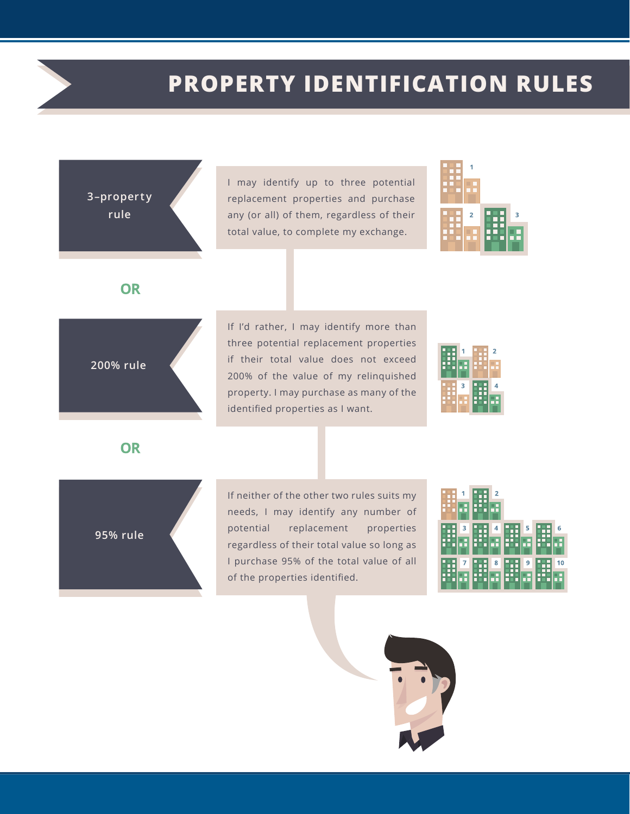### **PROPERTY IDENTIFICATION RULES**

**3–proper ty rule**

I may identify up to three potential replacement properties and purchase any (or all) of them, regardless of their total value, to complete my exchange.



**OR** 

If I'd rather, I may identify more than three potential replacement properties if their total value does not exceed 200% of the value of my relinquished property. I may purchase as many of the identified properties as I want.

| г<br>п<br>г<br>г<br>٦      | г<br>г           | г<br>г<br>г<br>п<br>г<br>г<br>г<br>г<br>г | $\overline{2}$<br>п<br>г<br>г<br>г |
|----------------------------|------------------|-------------------------------------------|------------------------------------|
| г<br>н<br>г<br>г           | 3                | г                                         |                                    |
| г<br>г<br>г<br>н<br>г<br>г | г<br>п<br>г<br>Ξ | г<br>Ξ<br>Ξ<br>Ξ                          |                                    |

**200% rule**

**OR** 

**95% rule**

If neither of the other two rules suits my needs, I may identify any number of potential replacement properties regardless of their total value so long as I purchase 95% of the total value of all of the properties identified.